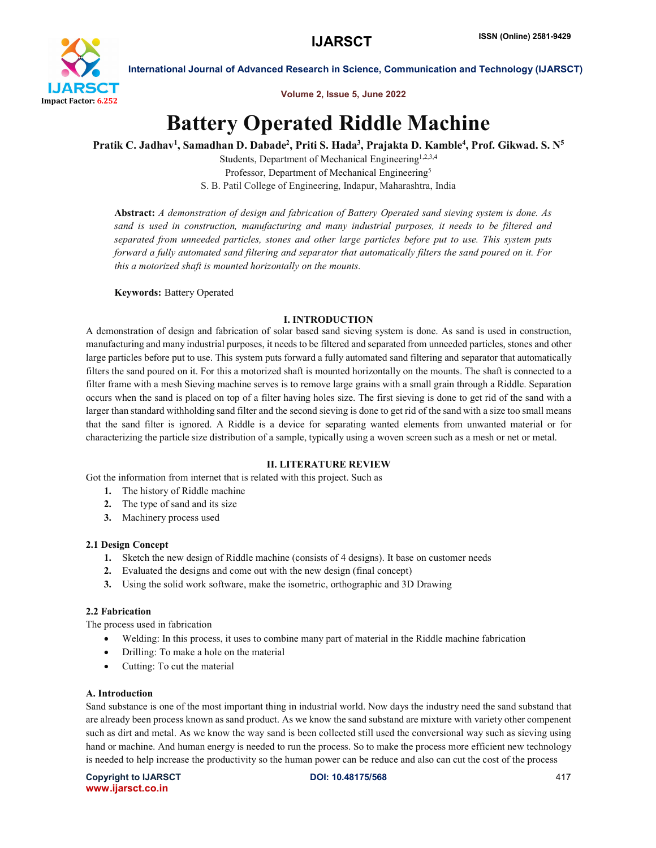

Volume 2, Issue 5, June 2022

# Battery Operated Riddle Machine

Pratik C. Jadhav<sup>1</sup>, Samadhan D. Dabade<sup>2</sup>, Priti S. Hada<sup>3</sup>, Prajakta D. Kamble<sup>4</sup>, Prof. Gikwad. S. N<sup>5</sup>

Students, Department of Mechanical Engineering<sup>1,2,3,4</sup> Professor, Department of Mechanical Engineering<sup>5</sup> S. B. Patil College of Engineering, Indapur, Maharashtra, India

Abstract: *A demonstration of design and fabrication of Battery Operated sand sieving system is done. As sand is used in construction, manufacturing and many industrial purposes, it needs to be filtered and separated from unneeded particles, stones and other large particles before put to use. This system puts forward a fully automated sand filtering and separator that automatically filters the sand poured on it. For this a motorized shaft is mounted horizontally on the mounts.*

Keywords: Battery Operated

# I. INTRODUCTION

A demonstration of design and fabrication of solar based sand sieving system is done. As sand is used in construction, manufacturing and many industrial purposes, it needs to be filtered and separated from unneeded particles, stones and other large particles before put to use. This system puts forward a fully automated sand filtering and separator that automatically filters the sand poured on it. For this a motorized shaft is mounted horizontally on the mounts. The shaft is connected to a filter frame with a mesh Sieving machine serves is to remove large grains with a small grain through a Riddle. Separation occurs when the sand is placed on top of a filter having holes size. The first sieving is done to get rid of the sand with a larger than standard withholding sand filter and the second sieving is done to get rid of the sand with a size too small means that the sand filter is ignored. A Riddle is a device for separating wanted elements from unwanted material or for characterizing the particle size distribution of a sample, typically using a woven screen such as a mesh or net or metal.

# II. LITERATURE REVIEW

Got the information from internet that is related with this project. Such as

- 1. The history of Riddle machine
- 2. The type of sand and its size
- 3. Machinery process used

# 2.1 Design Concept

- 1. Sketch the new design of Riddle machine (consists of 4 designs). It base on customer needs
- 2. Evaluated the designs and come out with the new design (final concept)
- 3. Using the solid work software, make the isometric, orthographic and 3D Drawing

# 2.2 Fabrication

The process used in fabrication

- Welding: In this process, it uses to combine many part of material in the Riddle machine fabrication
- Drilling: To make a hole on the material
- Cutting: To cut the material

# A. Introduction

Sand substance is one of the most important thing in industrial world. Now days the industry need the sand substand that are already been process known as sand product. As we know the sand substand are mixture with variety other compenent such as dirt and metal. As we know the way sand is been collected still used the conversional way such as sieving using hand or machine. And human energy is needed to run the process. So to make the process more efficient new technology is needed to help increase the productivity so the human power can be reduce and also can cut the cost of the process

Copyright to IJARSCT DOI: 10.48175/568 417 www.ijarsct.co.in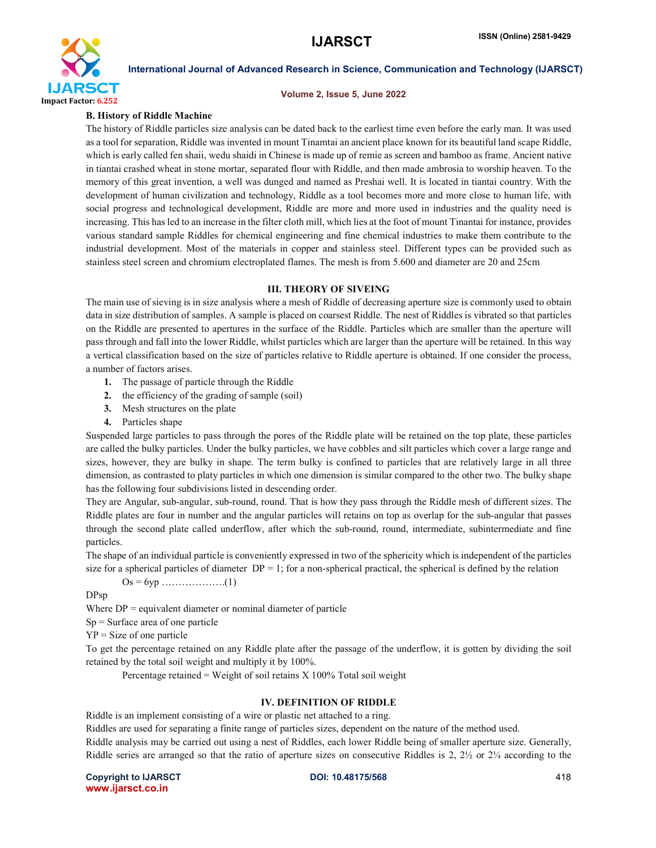

#### Volume 2, Issue 5, June 2022

### B. History of Riddle Machine

The history of Riddle particles size analysis can be dated back to the earliest time even before the early man. It was used as a tool for separation, Riddle was invented in mount Tinamtai an ancient place known for its beautiful land scape Riddle, which is early called fen shaii, wedu shaidi in Chinese is made up of remie as screen and bamboo as frame. Ancient native in tiantai crashed wheat in stone mortar, separated flour with Riddle, and then made ambrosia to worship heaven. To the memory of this great invention, a well was dunged and named as Preshai well. It is located in tiantai country. With the development of human civilization and technology, Riddle as a tool becomes more and more close to human life, with social progress and technological development, Riddle are more and more used in industries and the quality need is increasing. This has led to an increase in the filter cloth mill, which lies at the foot of mount Tinantai for instance, provides various standard sample Riddles for chemical engineering and fine chemical industries to make them contribute to the industrial development. Most of the materials in copper and stainless steel. Different types can be provided such as stainless steel screen and chromium electroplated flames. The mesh is from 5.600 and diameter are 20 and 25cm

#### III. THEORY OF SIVEING

The main use of sieving is in size analysis where a mesh of Riddle of decreasing aperture size is commonly used to obtain data in size distribution of samples. A sample is placed on coarsest Riddle. The nest of Riddles is vibrated so that particles on the Riddle are presented to apertures in the surface of the Riddle. Particles which are smaller than the aperture will pass through and fall into the lower Riddle, whilst particles which are larger than the aperture will be retained. In this way a vertical classification based on the size of particles relative to Riddle aperture is obtained. If one consider the process, a number of factors arises.

- 1. The passage of particle through the Riddle
- 2. the efficiency of the grading of sample (soil)
- 3. Mesh structures on the plate
- 4. Particles shape

Suspended large particles to pass through the pores of the Riddle plate will be retained on the top plate, these particles are called the bulky particles. Under the bulky particles, we have cobbles and silt particles which cover a large range and sizes, however, they are bulky in shape. The term bulky is confined to particles that are relatively large in all three dimension, as contrasted to platy particles in which one dimension is similar compared to the other two. The bulky shape has the following four subdivisions listed in descending order.

They are Angular, sub-angular, sub-round, round. That is how they pass through the Riddle mesh of different sizes. The Riddle plates are four in number and the angular particles will retains on top as overlap for the sub-angular that passes through the second plate called underflow, after which the sub-round, round, intermediate, subintermediate and fine particles.

The shape of an individual particle is conveniently expressed in two of the sphericity which is independent of the particles size for a spherical particles of diameter  $DP = 1$ ; for a non-spherical practical, the spherical is defined by the relation

$$
Os = 6yp \dots (1)
$$

DPsp

Where  $DP =$  equivalent diameter or nominal diameter of particle

 $Sp = Surface$  area of one particle

 $YP = Size of one particle$ 

To get the percentage retained on any Riddle plate after the passage of the underflow, it is gotten by dividing the soil retained by the total soil weight and multiply it by 100%.

Percentage retained = Weight of soil retains  $X$  100% Total soil weight

### IV. DEFINITION OF RIDDLE

Riddle is an implement consisting of a wire or plastic net attached to a ring.

Riddles are used for separating a finite range of particles sizes, dependent on the nature of the method used.

Riddle analysis may be carried out using a nest of Riddles, each lower Riddle being of smaller aperture size. Generally, Riddle series are arranged so that the ratio of aperture sizes on consecutive Riddles is 2,  $2\frac{1}{2}$  or  $2\frac{1}{4}$  according to the

Copyright to IJARSCT DOI: 10.48175/568 418 www.ijarsct.co.in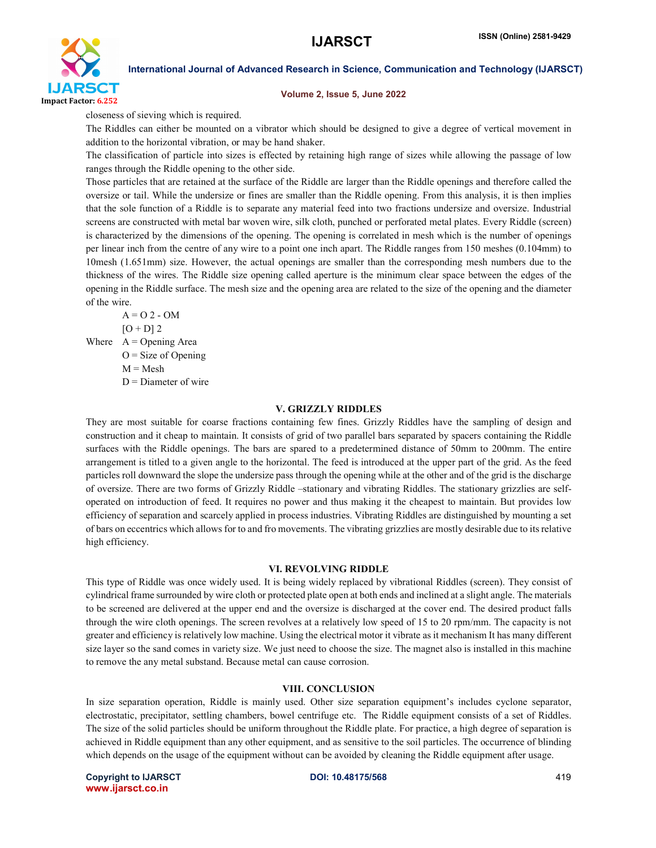

#### Volume 2, Issue 5, June 2022

closeness of sieving which is required.

The Riddles can either be mounted on a vibrator which should be designed to give a degree of vertical movement in addition to the horizontal vibration, or may be hand shaker.

The classification of particle into sizes is effected by retaining high range of sizes while allowing the passage of low ranges through the Riddle opening to the other side.

Those particles that are retained at the surface of the Riddle are larger than the Riddle openings and therefore called the oversize or tail. While the undersize or fines are smaller than the Riddle opening. From this analysis, it is then implies that the sole function of a Riddle is to separate any material feed into two fractions undersize and oversize. Industrial screens are constructed with metal bar woven wire, silk cloth, punched or perforated metal plates. Every Riddle (screen) is characterized by the dimensions of the opening. The opening is correlated in mesh which is the number of openings per linear inch from the centre of any wire to a point one inch apart. The Riddle ranges from 150 meshes (0.104mm) to 10mesh (1.651mm) size. However, the actual openings are smaller than the corresponding mesh numbers due to the thickness of the wires. The Riddle size opening called aperture is the minimum clear space between the edges of the opening in the Riddle surface. The mesh size and the opening area are related to the size of the opening and the diameter of the wire.

 $A = 02 - OM$  $[O + D]$  2 Where  $A =$  Opening Area  $O = Size of Opening$  $M = Mesh$  $D =$ Diameter of wire

#### V. GRIZZLY RIDDLES

They are most suitable for coarse fractions containing few fines. Grizzly Riddles have the sampling of design and construction and it cheap to maintain. It consists of grid of two parallel bars separated by spacers containing the Riddle surfaces with the Riddle openings. The bars are spared to a predetermined distance of 50mm to 200mm. The entire arrangement is titled to a given angle to the horizontal. The feed is introduced at the upper part of the grid. As the feed particles roll downward the slope the undersize pass through the opening while at the other and of the grid is the discharge of oversize. There are two forms of Grizzly Riddle –stationary and vibrating Riddles. The stationary grizzlies are selfoperated on introduction of feed. It requires no power and thus making it the cheapest to maintain. But provides low efficiency of separation and scarcely applied in process industries. Vibrating Riddles are distinguished by mounting a set of bars on eccentrics which allows for to and fro movements. The vibrating grizzlies are mostly desirable due to itsrelative high efficiency.

#### VI. REVOLVING RIDDLE

This type of Riddle was once widely used. It is being widely replaced by vibrational Riddles (screen). They consist of cylindrical frame surrounded by wire cloth or protected plate open at both ends and inclined at a slight angle. The materials to be screened are delivered at the upper end and the oversize is discharged at the cover end. The desired product falls through the wire cloth openings. The screen revolves at a relatively low speed of 15 to 20 rpm/mm. The capacity is not greater and efficiency is relatively low machine. Using the electrical motor it vibrate as it mechanism It has many different size layer so the sand comes in variety size. We just need to choose the size. The magnet also is installed in this machine to remove the any metal substand. Because metal can cause corrosion.

### VIII. CONCLUSION

In size separation operation, Riddle is mainly used. Other size separation equipment's includes cyclone separator, electrostatic, precipitator, settling chambers, bowel centrifuge etc. The Riddle equipment consists of a set of Riddles. The size of the solid particles should be uniform throughout the Riddle plate. For practice, a high degree of separation is achieved in Riddle equipment than any other equipment, and as sensitive to the soil particles. The occurrence of blinding which depends on the usage of the equipment without can be avoided by cleaning the Riddle equipment after usage.

Copyright to IJARSCT DOI: 10.48175/568 419 www.ijarsct.co.in